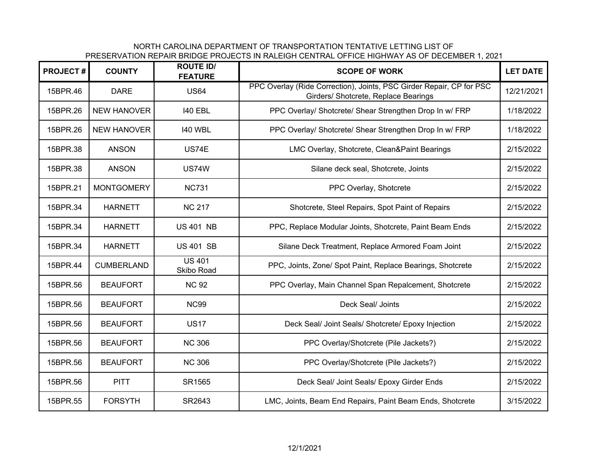NORTH CAROLINA DEPARTMENT OF TRANSPORTATION TENTATIVE LETTING LIST OFPRESERVATION REPAIR BRIDGE PROJECTS IN RALEIGH CENTRAL OFFICE HIGHWAY AS OF DECEMBER 1, 2021

| <b>PROJECT#</b> | <b>COUNTY</b>      | <b>ROUTE ID/</b><br><b>FEATURE</b> | <b>SCOPE OF WORK</b>                                                                                         | <b>LET DATE</b> |
|-----------------|--------------------|------------------------------------|--------------------------------------------------------------------------------------------------------------|-----------------|
| 15BPR.46        | <b>DARE</b>        | <b>US64</b>                        | PPC Overlay (Ride Correction), Joints, PSC Girder Repair, CP for PSC<br>Girders/ Shotcrete, Replace Bearings | 12/21/2021      |
| 15BPR.26        | <b>NEW HANOVER</b> | <b>140 EBL</b>                     | PPC Overlay/ Shotcrete/ Shear Strengthen Drop In w/ FRP                                                      | 1/18/2022       |
| 15BPR.26        | <b>NEW HANOVER</b> | <b>140 WBL</b>                     | PPC Overlay/ Shotcrete/ Shear Strengthen Drop In w/ FRP                                                      | 1/18/2022       |
| 15BPR.38        | <b>ANSON</b>       | US74E                              | LMC Overlay, Shotcrete, Clean&Paint Bearings                                                                 | 2/15/2022       |
| 15BPR.38        | <b>ANSON</b>       | <b>US74W</b>                       | Silane deck seal, Shotcrete, Joints                                                                          | 2/15/2022       |
| 15BPR.21        | <b>MONTGOMERY</b>  | <b>NC731</b>                       | PPC Overlay, Shotcrete                                                                                       | 2/15/2022       |
| 15BPR.34        | <b>HARNETT</b>     | <b>NC 217</b>                      | Shotcrete, Steel Repairs, Spot Paint of Repairs                                                              | 2/15/2022       |
| 15BPR.34        | <b>HARNETT</b>     | <b>US 401 NB</b>                   | PPC, Replace Modular Joints, Shotcrete, Paint Beam Ends                                                      | 2/15/2022       |
| 15BPR.34        | <b>HARNETT</b>     | <b>US 401 SB</b>                   | Silane Deck Treatment, Replace Armored Foam Joint                                                            | 2/15/2022       |
| 15BPR.44        | <b>CUMBERLAND</b>  | <b>US 401</b><br>Skibo Road        | PPC, Joints, Zone/ Spot Paint, Replace Bearings, Shotcrete                                                   | 2/15/2022       |
| 15BPR.56        | <b>BEAUFORT</b>    | <b>NC 92</b>                       | PPC Overlay, Main Channel Span Repalcement, Shotcrete                                                        | 2/15/2022       |
| 15BPR.56        | <b>BEAUFORT</b>    | <b>NC99</b>                        | Deck Seal/ Joints                                                                                            | 2/15/2022       |
| 15BPR.56        | <b>BEAUFORT</b>    | <b>US17</b>                        | Deck Seal/ Joint Seals/ Shotcrete/ Epoxy Injection                                                           | 2/15/2022       |
| 15BPR.56        | <b>BEAUFORT</b>    | <b>NC 306</b>                      | PPC Overlay/Shotcrete (Pile Jackets?)                                                                        | 2/15/2022       |
| 15BPR.56        | <b>BEAUFORT</b>    | <b>NC 306</b>                      | PPC Overlay/Shotcrete (Pile Jackets?)                                                                        | 2/15/2022       |
| 15BPR.56        | <b>PITT</b>        | SR1565                             | Deck Seal/ Joint Seals/ Epoxy Girder Ends                                                                    | 2/15/2022       |
| 15BPR.55        | <b>FORSYTH</b>     | SR2643                             | LMC, Joints, Beam End Repairs, Paint Beam Ends, Shotcrete                                                    | 3/15/2022       |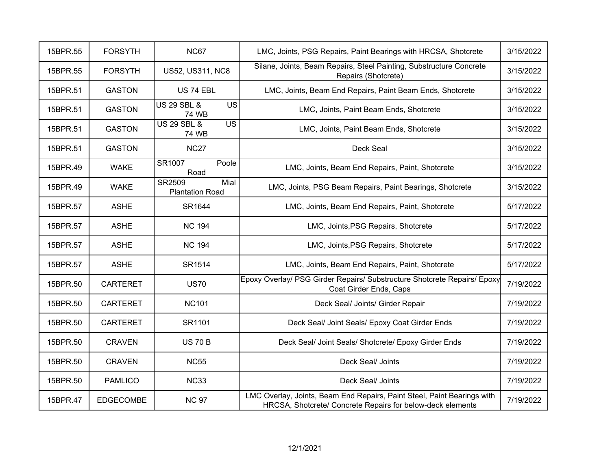| 15BPR.55 | <b>FORSYTH</b>   | <b>NC67</b>                                               | LMC, Joints, PSG Repairs, Paint Bearings with HRCSA, Shotcrete                                                                        | 3/15/2022 |
|----------|------------------|-----------------------------------------------------------|---------------------------------------------------------------------------------------------------------------------------------------|-----------|
| 15BPR.55 | <b>FORSYTH</b>   | <b>US52, US311, NC8</b>                                   | Silane, Joints, Beam Repairs, Steel Painting, Substructure Concrete<br>Repairs (Shotcrete)                                            | 3/15/2022 |
| 15BPR.51 | <b>GASTON</b>    | <b>US 74 EBL</b>                                          | LMC, Joints, Beam End Repairs, Paint Beam Ends, Shotcrete                                                                             | 3/15/2022 |
| 15BPR.51 | <b>GASTON</b>    | <b>US 29 SBL &amp;</b><br><b>US</b><br>74 WB              | LMC, Joints, Paint Beam Ends, Shotcrete                                                                                               | 3/15/2022 |
| 15BPR.51 | <b>GASTON</b>    | <b>US 29 SBL &amp;</b><br>$\overline{US}$<br><b>74 WB</b> | LMC, Joints, Paint Beam Ends, Shotcrete                                                                                               | 3/15/2022 |
| 15BPR.51 | <b>GASTON</b>    | <b>NC27</b>                                               | Deck Seal                                                                                                                             | 3/15/2022 |
| 15BPR.49 | <b>WAKE</b>      | SR1007<br>Poole<br>Road                                   | LMC, Joints, Beam End Repairs, Paint, Shotcrete                                                                                       | 3/15/2022 |
| 15BPR.49 | <b>WAKE</b>      | Mial<br>SR2509<br><b>Plantation Road</b>                  | LMC, Joints, PSG Beam Repairs, Paint Bearings, Shotcrete                                                                              | 3/15/2022 |
| 15BPR.57 | <b>ASHE</b>      | SR1644                                                    | LMC, Joints, Beam End Repairs, Paint, Shotcrete                                                                                       | 5/17/2022 |
| 15BPR.57 | <b>ASHE</b>      | <b>NC 194</b>                                             | LMC, Joints, PSG Repairs, Shotcrete                                                                                                   | 5/17/2022 |
| 15BPR.57 | <b>ASHE</b>      | <b>NC 194</b>                                             | LMC, Joints, PSG Repairs, Shotcrete                                                                                                   | 5/17/2022 |
| 15BPR.57 | <b>ASHE</b>      | SR1514                                                    | LMC, Joints, Beam End Repairs, Paint, Shotcrete                                                                                       | 5/17/2022 |
| 15BPR.50 | <b>CARTERET</b>  | <b>US70</b>                                               | Epoxy Overlay/ PSG Girder Repairs/ Substructure Shotcrete Repairs/ Epoxy<br>Coat Girder Ends, Caps                                    | 7/19/2022 |
| 15BPR.50 | <b>CARTERET</b>  | <b>NC101</b>                                              | Deck Seal/ Joints/ Girder Repair                                                                                                      | 7/19/2022 |
| 15BPR.50 | <b>CARTERET</b>  | SR1101                                                    | Deck Seal/ Joint Seals/ Epoxy Coat Girder Ends                                                                                        | 7/19/2022 |
| 15BPR.50 | <b>CRAVEN</b>    | <b>US 70 B</b>                                            | Deck Seal/ Joint Seals/ Shotcrete/ Epoxy Girder Ends                                                                                  | 7/19/2022 |
| 15BPR.50 | <b>CRAVEN</b>    | <b>NC55</b>                                               | Deck Seal/ Joints                                                                                                                     | 7/19/2022 |
| 15BPR.50 | <b>PAMLICO</b>   | <b>NC33</b>                                               | Deck Seal/ Joints                                                                                                                     | 7/19/2022 |
| 15BPR.47 | <b>EDGECOMBE</b> | <b>NC 97</b>                                              | LMC Overlay, Joints, Beam End Repairs, Paint Steel, Paint Bearings with<br>HRCSA, Shotcrete/ Concrete Repairs for below-deck elements | 7/19/2022 |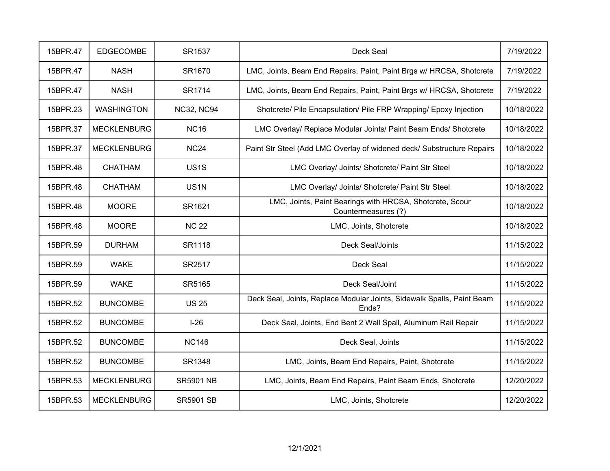| 15BPR.47 | <b>EDGECOMBE</b>   | SR1537            | Deck Seal                                                                       | 7/19/2022  |
|----------|--------------------|-------------------|---------------------------------------------------------------------------------|------------|
| 15BPR.47 | <b>NASH</b>        | SR1670            | LMC, Joints, Beam End Repairs, Paint, Paint Brgs w/ HRCSA, Shotcrete            | 7/19/2022  |
| 15BPR.47 | <b>NASH</b>        | SR1714            | LMC, Joints, Beam End Repairs, Paint, Paint Brgs w/ HRCSA, Shotcrete            | 7/19/2022  |
| 15BPR.23 | <b>WASHINGTON</b>  | <b>NC32, NC94</b> | Shotcrete/ Pile Encapsulation/ Pile FRP Wrapping/ Epoxy Injection               | 10/18/2022 |
| 15BPR.37 | <b>MECKLENBURG</b> | <b>NC16</b>       | LMC Overlay/ Replace Modular Joints/ Paint Beam Ends/ Shotcrete                 | 10/18/2022 |
| 15BPR.37 | <b>MECKLENBURG</b> | <b>NC24</b>       | Paint Str Steel (Add LMC Overlay of widened deck/ Substructure Repairs          | 10/18/2022 |
| 15BPR.48 | <b>CHATHAM</b>     | US <sub>1</sub> S | LMC Overlay/ Joints/ Shotcrete/ Paint Str Steel                                 | 10/18/2022 |
| 15BPR.48 | <b>CHATHAM</b>     | US <sub>1N</sub>  | LMC Overlay/ Joints/ Shotcrete/ Paint Str Steel                                 | 10/18/2022 |
| 15BPR.48 | <b>MOORE</b>       | SR1621            | LMC, Joints, Paint Bearings with HRCSA, Shotcrete, Scour<br>Countermeasures (?) | 10/18/2022 |
| 15BPR.48 | <b>MOORE</b>       | <b>NC 22</b>      | LMC, Joints, Shotcrete                                                          | 10/18/2022 |
| 15BPR.59 | <b>DURHAM</b>      | SR1118            | Deck Seal/Joints                                                                | 11/15/2022 |
| 15BPR.59 | <b>WAKE</b>        | SR2517            | Deck Seal                                                                       | 11/15/2022 |
| 15BPR.59 | <b>WAKE</b>        | SR5165            | Deck Seal/Joint                                                                 | 11/15/2022 |
| 15BPR.52 | <b>BUNCOMBE</b>    | <b>US 25</b>      | Deck Seal, Joints, Replace Modular Joints, Sidewalk Spalls, Paint Beam<br>Ends? | 11/15/2022 |
| 15BPR.52 | <b>BUNCOMBE</b>    | $I-26$            | Deck Seal, Joints, End Bent 2 Wall Spall, Aluminum Rail Repair                  | 11/15/2022 |
| 15BPR.52 | <b>BUNCOMBE</b>    | <b>NC146</b>      | Deck Seal, Joints                                                               | 11/15/2022 |
| 15BPR.52 | <b>BUNCOMBE</b>    | SR1348            | LMC, Joints, Beam End Repairs, Paint, Shotcrete                                 | 11/15/2022 |
| 15BPR.53 | <b>MECKLENBURG</b> | <b>SR5901 NB</b>  | LMC, Joints, Beam End Repairs, Paint Beam Ends, Shotcrete                       | 12/20/2022 |
| 15BPR.53 | <b>MECKLENBURG</b> | <b>SR5901 SB</b>  | LMC, Joints, Shotcrete                                                          | 12/20/2022 |